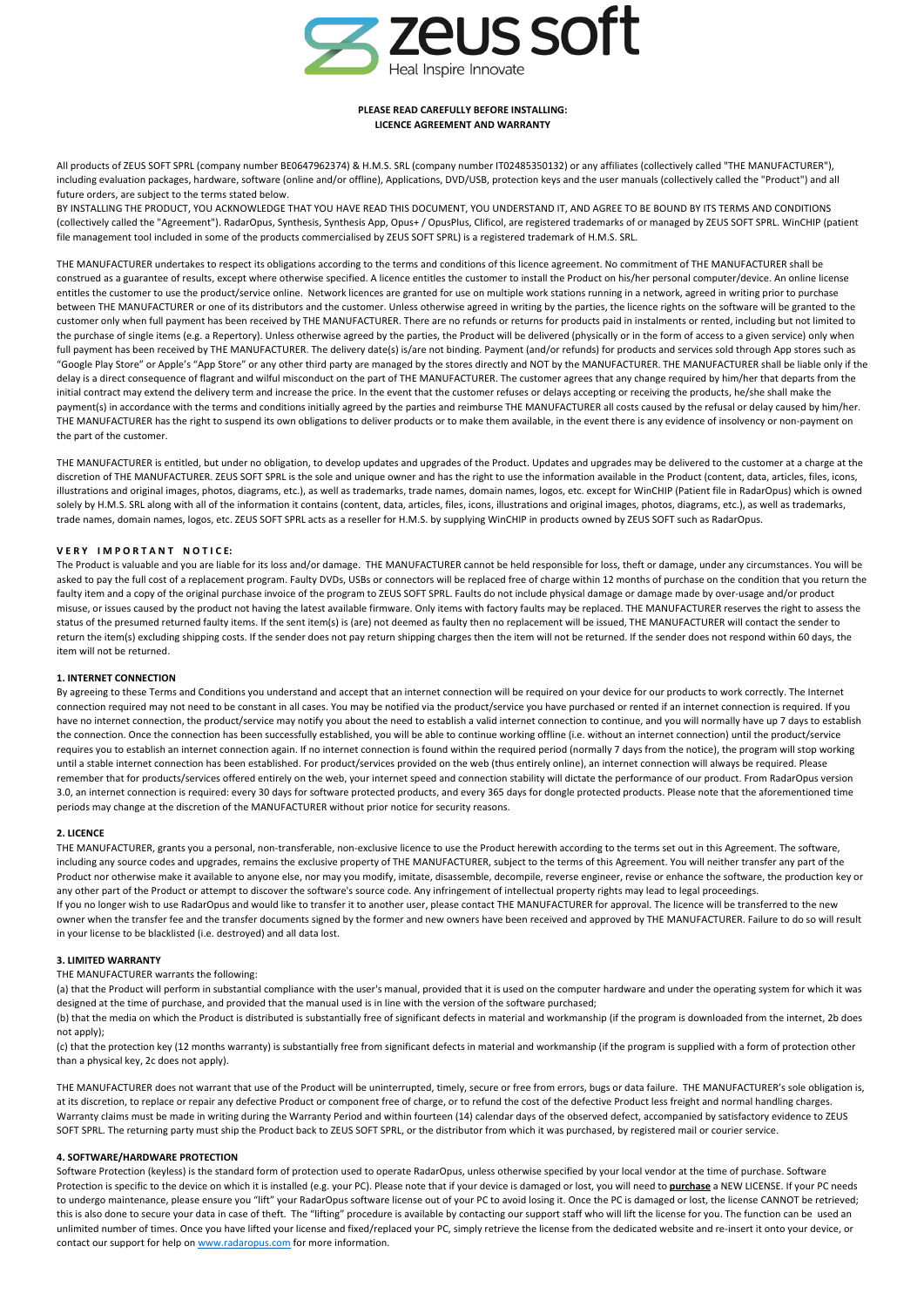

# **PLEASE READ CAREFULLY BEFORE INSTALLING: LICENCE AGREEMENT AND WARRANTY**

All products of ZEUS SOFT SPRL (company number BE0647962374) & H.M.S. SRL (company number IT02485350132) or any affiliates (collectively called "THE MANUFACTURER"), including evaluation packages, hardware, software (online and/or offline), Applications, DVD/USB, protection keys and the user manuals (collectively called the "Product") and all future orders, are subject to the terms stated below.

BY INSTALLING THE PRODUCT, YOU ACKNOWLEDGE THAT YOU HAVE READ THIS DOCUMENT, YOU UNDERSTAND IT, AND AGREE TO BE BOUND BY ITS TERMS AND CONDITIONS (collectively called the "Agreement"). RadarOpus, Synthesis, Synthesis App, Opus+ / OpusPlus, Clificol, are registered trademarks of or managed by ZEUS SOFT SPRL. WinCHIP (patient file management tool included in some of the products commercialised by ZEUS SOFT SPRL) is a registered trademark of H.M.S. SRL.

THE MANUFACTURER undertakes to respect its obligations according to the terms and conditions of this licence agreement. No commitment of THE MANUFACTURER shall be construed as a guarantee of results, except where otherwise specified. A licence entitles the customer to install the Product on his/her personal computer/device. An online license entitles the customer to use the product/service online. Network licences are granted for use on multiple work stations running in a network, agreed in writing prior to purchase between THE MANUFACTURER or one of its distributors and the customer. Unless otherwise agreed in writing by the parties, the licence rights on the software will be granted to the customer only when full payment has been received by THE MANUFACTURER. There are no refunds or returns for products paid in instalments or rented, including but not limited to the purchase of single items (e.g. a Repertory). Unless otherwise agreed by the parties, the Product will be delivered (physically or in the form of access to a given service) only when full payment has been received by THE MANUFACTURER. The delivery date(s) is/are not binding. Payment (and/or refunds) for products and services sold through App stores such as "Google Play Store" or Apple's "App Store" or any other third party are managed by the stores directly and NOT by the MANUFACTURER. THE MANUFACTURER shall be liable only if the delay is a direct consequence of flagrant and wilful misconduct on the part of THE MANUFACTURER. The customer agrees that any change required by him/her that departs from the initial contract may extend the delivery term and increase the price. In the event that the customer refuses or delays accepting or receiving the products, he/she shall make the payment(s) in accordance with the terms and conditions initially agreed by the parties and reimburse THE MANUFACTURER all costs caused by the refusal or delay caused by him/her. THE MANUFACTURER has the right to suspend its own obligations to deliver products or to make them available, in the event there is any evidence of insolvency or non-payment on the part of the customer.

THE MANUFACTURER is entitled, but under no obligation, to develop updates and upgrades of the Product. Updates and upgrades may be delivered to the customer at a charge at the discretion of THE MANUFACTURER. ZEUS SOFT SPRL is the sole and unique owner and has the right to use the information available in the Product (content, data, articles, files, icons, illustrations and original images, photos, diagrams, etc.), as well as trademarks, trade names, domain names, logos, etc. except for WinCHIP (Patient file in RadarOpus) which is owned solely by H.M.S. SRL along with all of the information it contains (content, data, articles, files, icons, illustrations and original images, photos, diagrams, etc.), as well as trademarks, trade names, domain names, logos, etc. ZEUS SOFT SPRL acts as a reseller for H.M.S. by supplying WinCHIP in products owned by ZEUS SOFT such as RadarOpus.

## **VERY IMPORTANT NOTICE:**

The Product is valuable and you are liable for its loss and/or damage. THE MANUFACTURER cannot be held responsible for loss, theft or damage, under any circumstances. You will be asked to pay the full cost of a replacement program. Faulty DVDs, USBs or connectors will be replaced free of charge within 12 months of purchase on the condition that you return the faulty item and a copy of the original purchase invoice of the program to ZEUS SOFT SPRL. Faults do not include physical damage or damage made by over-usage and/or product misuse, or issues caused by the product not having the latest available firmware. Only items with factory faults may be replaced. THE MANUFACTURER reserves the right to assess the status of the presumed returned faulty items. If the sent item(s) is (are) not deemed as faulty then no replacement will be issued, THE MANUFACTURER will contact the sender to return the item(s) excluding shipping costs. If the sender does not pay return shipping charges then the item will not be returned. If the sender does not respond within 60 days, the item will not be returned.

### **1. INTERNET CONNECTION**

By agreeing to these Terms and Conditions you understand and accept that an internet connection will be required on your device for our products to work correctly. The Internet connection required may not need to be constant in all cases. You may be notified via the product/service you have purchased or rented if an internet connection is required. If you have no internet connection, the product/service may notify you about the need to establish a valid internet connection to continue, and you will normally have up 7 days to establish the connection. Once the connection has been successfully established, you will be able to continue working offline (i.e. without an internet connection) until the product/service requires you to establish an internet connection again. If no internet connection is found within the required period (normally 7 days from the notice), the program will stop working until a stable internet connection has been established. For product/services provided on the web (thus entirely online), an internet connection will always be required. Please remember that for products/services offered entirely on the web, your internet speed and connection stability will dictate the performance of our product. From RadarOpus version 3.0, an internet connection is required: every 30 days for software protected products, and every 365 days for dongle protected products. Please note that the aforementioned time periods may change at the discretion of the MANUFACTURER without prior notice for security reasons.

### **2. LICENCE**

THE MANUFACTURER, grants you a personal, non-transferable, non-exclusive licence to use the Product herewith according to the terms set out in this Agreement. The software, including any source codes and upgrades, remains the exclusive property of THE MANUFACTURER, subject to the terms of this Agreement. You will neither transfer any part of the Product nor otherwise make it available to anyone else, nor may you modify, imitate, disassemble, decompile, reverse engineer, revise or enhance the software, the production key or any other part of the Product or attempt to discover the software's source code. Any infringement of intellectual property rights may lead to legal proceedings. If you no longer wish to use RadarOpus and would like to transfer it to another user, please contact THE MANUFACTURER for approval. The licence will be transferred to the new owner when the transfer fee and the transfer documents signed by the former and new owners have been received and approved by THE MANUFACTURER. Failure to do so will result in your license to be blacklisted (i.e. destroyed) and all data lost.

## **3. LIMITED WARRANTY**

## THE MANUFACTURER warrants the following:

(a) that the Product will perform in substantial compliance with the user's manual, provided that it is used on the computer hardware and under the operating system for which it was designed at the time of purchase, and provided that the manual used is in line with the version of the software purchased;

(b) that the media on which the Product is distributed is substantially free of significant defects in material and workmanship (if the program is downloaded from the internet, 2b does not apply);

(c) that the protection key (12 months warranty) is substantially free from significant defects in material and workmanship (if the program is supplied with a form of protection other than a physical key, 2c does not apply).

THE MANUFACTURER does not warrant that use of the Product will be uninterrupted, timely, secure or free from errors, bugs or data failure. THE MANUFACTURER's sole obligation is, at its discretion, to replace or repair any defective Product or component free of charge, or to refund the cost of the defective Product less freight and normal handling charges. Warranty claims must be made in writing during the Warranty Period and within fourteen (14) calendar days of the observed defect, accompanied by satisfactory evidence to ZEUS SOFT SPRL. The returning party must ship the Product back to ZEUS SOFT SPRL, or the distributor from which it was purchased, by registered mail or courier service.

### **4. SOFTWARE/HARDWARE PROTECTION**

Software Protection (keyless) is the standard form of protection used to operate RadarOpus, unless otherwise specified by your local vendor at the time of purchase. Software Protection is specific to the device on which it is installed (e.g. your PC). Please note that if your device is damaged or lost, you will need to **purchase** a NEW LICENSE. If your PC needs to undergo maintenance, please ensure you "lift" your RadarOpus software license out of your PC to avoid losing it. Once the PC is damaged or lost, the license CANNOT be retrieved; this is also done to secure your data in case of theft. The "lifting" procedure is available by contacting our support staff who will lift the license for you. The function can be used an unlimited number of times. Once you have lifted your license and fixed/replaced your PC, simply retrieve the license from the dedicated website and re-insert it onto your device, or contact our support for help on www.radaropus.com for more information.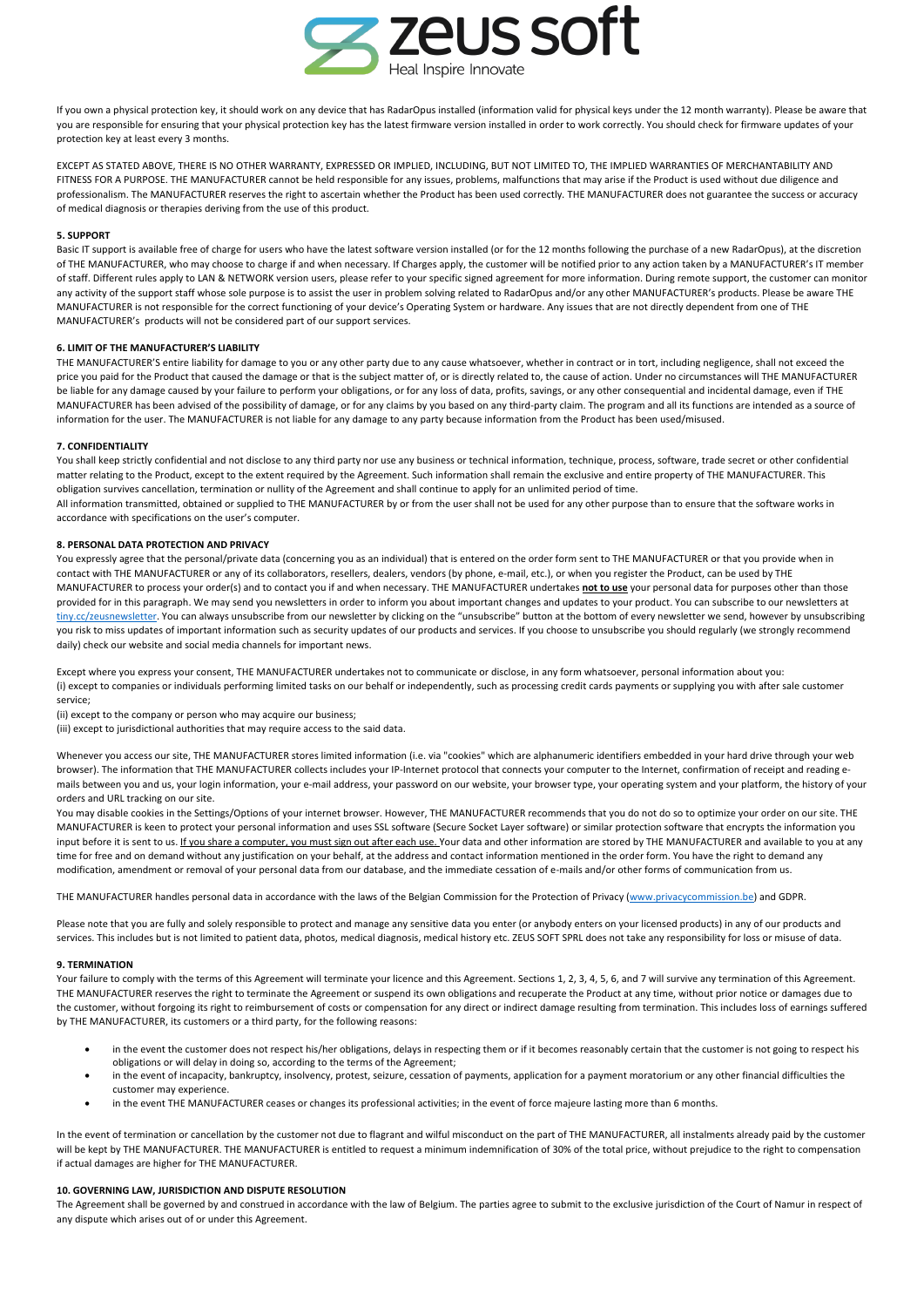

If you own a physical protection key, it should work on any device that has RadarOpus installed (information valid for physical keys under the 12 month warranty). Please be aware that you are responsible for ensuring that your physical protection key has the latest firmware version installed in order to work correctly. You should check for firmware updates of your protection key at least every 3 months.

EXCEPT AS STATED ABOVE, THERE IS NO OTHER WARRANTY, EXPRESSED OR IMPLIED, INCLUDING, BUT NOT LIMITED TO, THE IMPLIED WARRANTIES OF MERCHANTABILITY AND FITNESS FOR A PURPOSE. THE MANUFACTURER cannot be held responsible for any issues, problems, malfunctions that may arise if the Product is used without due diligence and professionalism. The MANUFACTURER reserves the right to ascertain whether the Product has been used correctly*.* THE MANUFACTURER does not guarantee the success or accuracy of medical diagnosis or therapies deriving from the use of this product.

## **5. SUPPORT**

Basic IT support is available free of charge for users who have the latest software version installed (or for the 12 months following the purchase of a new RadarOpus), at the discretion of THE MANUFACTURER, who may choose to charge if and when necessary. If Charges apply, the customer will be notified prior to any action taken by a MANUFACTURER's IT member of staff. Different rules apply to LAN & NETWORK version users, please refer to your specific signed agreement for more information. During remote support, the customer can monitor any activity of the support staff whose sole purpose is to assist the user in problem solving related to RadarOpus and/or any other MANUFACTURER's products. Please be aware THE MANUFACTURER is not responsible for the correct functioning of your device's Operating System or hardware. Any issues that are not directly dependent from one of THE MANUFACTURER's products will not be considered part of our support services.

# **6. LIMIT OF THE MANUFACTURER'S LIABILITY**

THE MANUFACTURER'S entire liability for damage to you or any other party due to any cause whatsoever, whether in contract or in tort, including negligence, shall not exceed the price you paid for the Product that caused the damage or that is the subject matter of, or is directly related to, the cause of action. Under no circumstances will THE MANUFACTURER be liable for any damage caused by your failure to perform your obligations, or for any loss of data, profits, savings, or any other consequential and incidental damage, even if THE MANUFACTURER has been advised of the possibility of damage, or for any claims by you based on any third-party claim. The program and all its functions are intended as a source of information for the user. The MANUFACTURER is not liable for any damage to any party because information from the Product has been used/misused.

#### **7. CONFIDENTIALITY**

You shall keep strictly confidential and not disclose to any third party nor use any business or technical information, technique, process, software, trade secret or other confidential matter relating to the Product, except to the extent required by the Agreement. Such information shall remain the exclusive and entire property of THE MANUFACTURER. This obligation survives cancellation, termination or nullity of the Agreement and shall continue to apply for an unlimited period of time. All information transmitted, obtained or supplied to THE MANUFACTURER by or from the user shall not be used for any other purpose than to ensure that the software works in

accordance with specifications on the user's computer.

# **8. PERSONAL DATA PROTECTION AND PRIVACY**

You expressly agree that the personal/private data (concerning you as an individual) that is entered on the order form sent to THE MANUFACTURER or that you provide when in contact with THE MANUFACTURER or any of its collaborators, resellers, dealers, vendors (by phone, e-mail, etc.), or when you register the Product, can be used by THE MANUFACTURER to process your order(s) and to contact you if and when necessary. THE MANUFACTURER undertakes **not to use** your personal data for purposes other than those provided for in this paragraph. We may send you newsletters in order to inform you about important changes and updates to your product. You can subscribe to our newsletters at tiny.cc/zeusnewsletter. You can always unsubscribe from our newsletter by clicking on the "unsubscribe" button at the bottom of every newsletter we send, however by unsubscribing you risk to miss updates of important information such as security updates of our products and services. If you choose to unsubscribe you should regularly (we strongly recommend daily) check our website and social media channels for important news.

Except where you express your consent, THE MANUFACTURER undertakes not to communicate or disclose, in any form whatsoever, personal information about you: (i) except to companies or individuals performing limited tasks on our behalf or independently, such as processing credit cards payments or supplying you with after sale customer service;

(ii) except to the company or person who may acquire our business;

(iii) except to jurisdictional authorities that may require access to the said data.

Whenever you access our site. THE MANUFACTURER stores limited information (i.e. via "cookies" which are alphanumeric identifiers embedded in your hard drive through your web browser). The information that THE MANUFACTURER collects includes your IP-Internet protocol that connects your computer to the Internet, confirmation of receipt and reading emails between you and us, your login information, your e-mail address, your password on our website, your browser type, your operating system and your platform, the history of your orders and URL tracking on our site.

You may disable cookies in the Settings/Options of your internet browser. However, THE MANUFACTURER recommends that you do not do so to optimize your order on our site. THE MANUFACTURER is keen to protect your personal information and uses SSL software (Secure Socket Layer software) or similar protection software that encrypts the information you input before it is sent to us. If you share a computer, you must sign out after each use. Your data and other information are stored by THE MANUFACTURER and available to you at any time for free and on demand without any justification on your behalf, at the address and contact information mentioned in the order form. You have the right to demand any modification, amendment or removal of your personal data from our database, and the immediate cessation of e-mails and/or other forms of communication from us.

THE MANUFACTURER handles personal data in accordance with the laws of the Belgian Commission for the Protection of Privacy (www.privacycommission.be) and GDPR.

Please note that you are fully and solely responsible to protect and manage any sensitive data you enter (or anybody enters on your licensed products) in any of our products and services. This includes but is not limited to patient data, photos, medical diagnosis, medical history etc. ZEUS SOFT SPRL does not take any responsibility for loss or misuse of data.

### **9. TERMINATION**

Your failure to comply with the terms of this Agreement will terminate your licence and this Agreement. Sections 1, 2, 3, 4, 5, 6, and 7 will survive any termination of this Agreement. THE MANUFACTURER reserves the right to terminate the Agreement or suspend its own obligations and recuperate the Product at any time, without prior notice or damages due to the customer, without forgoing its right to reimbursement of costs or compensation for any direct or indirect damage resulting from termination. This includes loss of earnings suffered by THE MANUFACTURER, its customers or a third party, for the following reasons:

- in the event the customer does not respect his/her obligations, delays in respecting them or if it becomes reasonably certain that the customer is not going to respect his obligations or will delay in doing so, according to the terms of the Agreement;
- in the event of incapacity, bankruptcy, insolvency, protest, seizure, cessation of payments, application for a payment moratorium or any other financial difficulties the customer may experience.
- in the event THE MANUFACTURER ceases or changes its professional activities; in the event of force majeure lasting more than 6 months.

In the event of termination or cancellation by the customer not due to flagrant and wilful misconduct on the part of THE MANUFACTURER, all instalments already paid by the customer will be kept by THE MANUFACTURER. THE MANUFACTURER is entitled to request a minimum indemnification of 30% of the total price, without prejudice to the right to compensation if actual damages are higher for THE MANUFACTURER.

# **10. GOVERNING LAW, JURISDICTION AND DISPUTE RESOLUTION**

The Agreement shall be governed by and construed in accordance with the law of Belgium. The parties agree to submit to the exclusive jurisdiction of the Court of Namur in respect of any dispute which arises out of or under this Agreement.